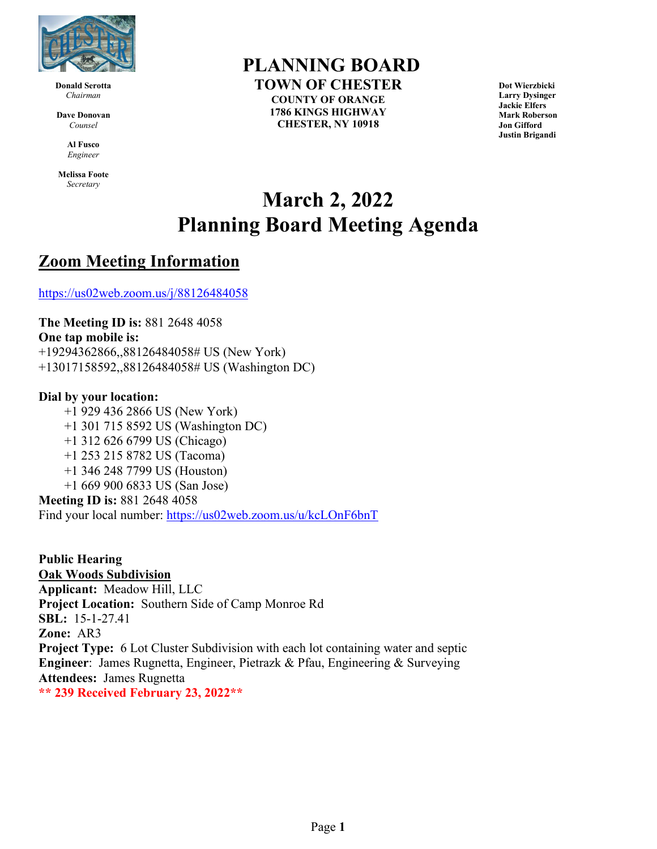

**Donald Serotta** *Chairman*

**Dave Donovan** *Counsel*

> **Al Fusco** *Engineer*

**Melissa Foote** *Secretary*

### **PLANNING BOARD**

**TOWN OF CHESTER COUNTY OF ORANGE 1786 KINGS HIGHWAY CHESTER, NY 10918**

**Dot Wierzbicki Larry Dysinger Jackie Elfers Mark Roberson Jon Gifford Justin Brigandi**

# **March 2, 2022 Planning Board Meeting Agenda**

### **Zoom Meeting Information**

<https://us02web.zoom.us/j/88126484058>

**The Meeting ID is:** 881 2648 4058 **One tap mobile is:** +19294362866,,88126484058# US (New York) +13017158592,,88126484058# US (Washington DC)

#### **Dial by your location:**

+1 929 436 2866 US (New York) +1 301 715 8592 US (Washington DC) +1 312 626 6799 US (Chicago) +1 253 215 8782 US (Tacoma) +1 346 248 7799 US (Houston) +1 669 900 6833 US (San Jose) **Meeting ID is:** 881 2648 4058

Find your local number:<https://us02web.zoom.us/u/kcLOnF6bnT>

**Public Hearing Oak Woods Subdivision Applicant:** Meadow Hill, LLC **Project Location:** Southern Side of Camp Monroe Rd **SBL:** 15-1-27.41 **Zone:** AR3 **Project Type:** 6 Lot Cluster Subdivision with each lot containing water and septic **Engineer**: James Rugnetta, Engineer, Pietrazk & Pfau, Engineering & Surveying **Attendees:** James Rugnetta **\*\* 239 Received February 23, 2022\*\***